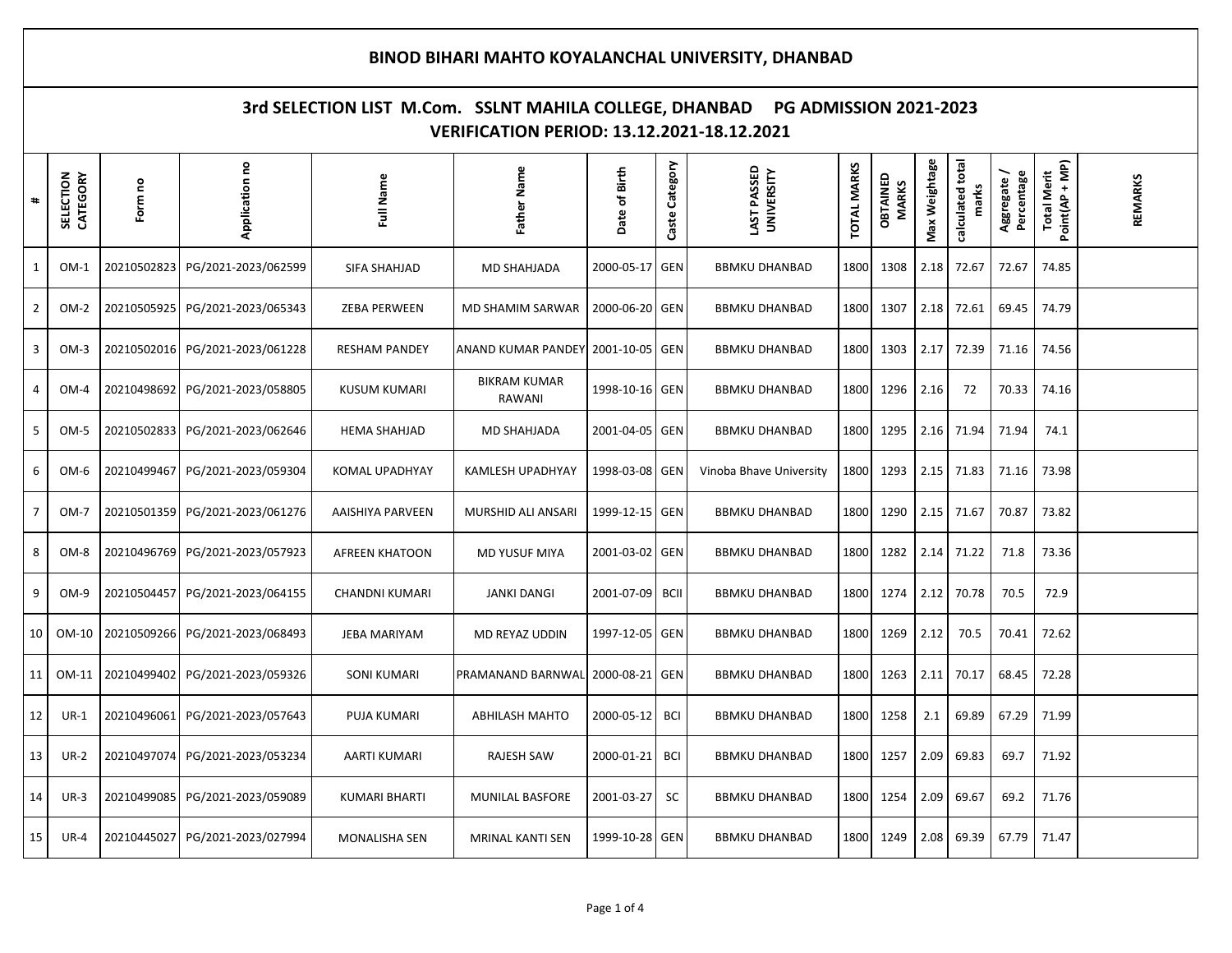## **BINOD BIHARI MAHTO KOYALANCHAL UNIVERSITY, DHANBAD 3rd SELECTION LIST M.Com. SSLNT MAHILA COLLEGE, DHANBAD PG ADMISSION 2021-2023 VERIFICATION PERIOD: 13.12.2021-18.12.2021 calculated total**  Total Merit<br>Point(AP + MP) Caste Category Max Weightage **Max Weightage** calculated total **Application no Caste Category UNIVERSITY TOTAL MARKS Point(AP + MP) LAST PASSED TOTAL MARKS CATEGORY Father Name Date of Birth Aggregate / Total Merit SELECTION OBTAINED**  Aggregate/ **Percentage Full Name** OBTAINED **REMARKS MARKS Form no marks #**1 OM-1 20210502823 PG/2021-2023/062599 SIFA SHAHJAD MD SHAHJADA 2000-05-17 GEN BBMKU DHANBAD 1800 1308 2.18 72.67 72.67 74.85 2 OM-2 20210505925 PG/2021-2023/065343 ZEBA PERWEEN MD SHAMIM SARWAR 2000-06-20 GEN BBMKU DHANBAD 1800 1307 2.18 72.61 69.45 74.79 3 | OM-3 |20210502016| PG/2021-2023/061228 | RESHAM PANDEY |ANAND KUMAR PANDEY| 2001-10-05|GEN | BBMKU DHANBAD |1800| 1303 | 2.17 | 72.39 | 71.16 | 74.56 BIKRAM KUMAR 4 | OM-4 | 20210498692 | PG/2021-2023/058805 | KUSUM KUMARI 1998-10-16 GEN BBMKU DHANBAD 1800 1296 2.16 72 70.33 74.16 RAWANI 5 OM-5 20210502833 PG/2021-2023/062646 HEMA SHAHJAD MD SHAHJADA 2001-04-05 GEN BBMKU DHANBAD 1800 1295 2.16 71.94 71.94 74.1 6 | OM-6 |20210499467 PG/2021-2023/059304 | KOMAL UPADHYAY | KAMLESH UPADHYAY |1998-03-08 GEN | Vinoba Bhave University |1800 | 1293 | 2.15 | 71.83 | 71.16 | 73.98 7 | OM-7 |20210501359| PG/2021-2023/061276 | AAISHIYA PARVEEN | MURSHID ALI ANSARI |1999-12-15|GEN | BBMKU DHANBAD |1800| 1290 | 2.15 | 71.67 | 70.87 | 73.82 8 | OM-8 |20210496769| PG/2021-2023/057923 | AFREEN KHATOON | MD YUSUF MIYA |2001-03-02 |GEN | BBMKU DHANBAD |1800| 1282 | 2.14 | 71.22 | 71.8 | 73.36 9 | OM-9 |20210504457| PG/2021-2023/064155 | CHANDNI KUMARI | JANKI DANGI |2001-07-09| BCII | BBMKU DHANBAD |1800| 1274 |2.12 | 70.78 | 70.5 | 72.9 10 OM-10 20210509266 PG/2021-2023/068493 JEBA MARIYAM MD REYAZ UDDIN 1997-12-05 GEN BBMKU DHANBAD 1800 1269 2.12 70.5 70.41 72.62 11 OM-11 20210499402 PG/2021-2023/059326 SONI KUMARI PRAMANAND BARNWAL 2000-08-21 GEN BBMKU DHANBAD 1800 1263 2.11 70.17 68.45 72.28 12 UR-1 20210496061 PG/2021-2023/057643 PUJA KUMARI ABHILASH MAHTO 2000-05-12 BCI BBMKU DHANBAD 1800 1258 2.1 69.89 67.29 71.99 13 UR-2 20210497074 PG/2021-2023/053234 AARTI KUMARI RAJESH SAW 2000-01-21 BCI BBMKU DHANBAD 1800 1257 2.09 69.83 69.7 71.92 14 UR-3 20210499085 PG/2021-2023/059089 KUMARI BHARTI MUNILAL BASFORE 2001-03-27 SC BBMKU DHANBAD 1800 1254 2.09 69.67 69.2 71.76 15 UR-4 20210445027 PG/2021-2023/027994 MONALISHA SEN MRINAL KANTI SEN 1999-10-28 GEN BBMKU DHANBAD 1800 1249 2.08 69.39 67.79 71.47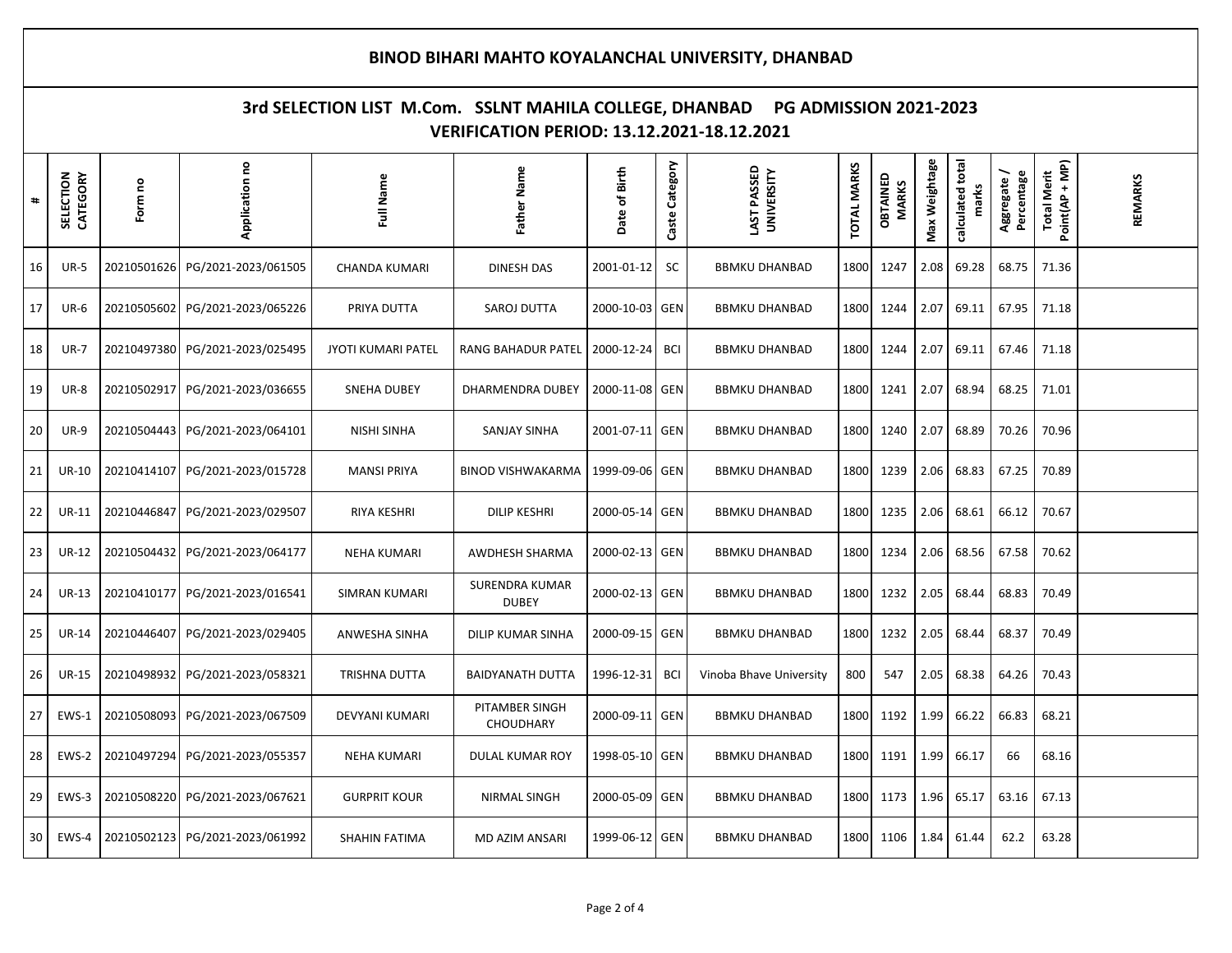## **BINOD BIHARI MAHTO KOYALANCHAL UNIVERSITY, DHANBAD 3rd SELECTION LIST M.Com. SSLNT MAHILA COLLEGE, DHANBAD PG ADMISSION 2021-2023 VERIFICATION PERIOD: 13.12.2021-18.12.2021 calculated total**  Total Merit<br>Point(AP + MP) Caste Category Max Weightage **Max Weightage** calculated total **Application no Caste Category UNIVERSITY TOTAL MARKS Point(AP + MP) LAST PASSED TOTAL MARKS CATEGORY Father Name Date of Birth Aggregate / Total Merit SELECTION OBTAINED**  Aggregate/ **Percentage Full Name** OBTAINED **REMARKS MARKS Form no marks #**16 UR-5 20210501626 PG/2021-2023/061505 CHANDA KUMARI DINESH DAS 2001-01-12 SC BBMKU DHANBAD 1800 1247 2.08 69.28 68.75 71.36 17 UR-6 20210505602 PG/2021-2023/065226 PRIYA DUTTA SAROJ DUTTA 2000-10-03 GEN BBMKU DHANBAD 1800 1244 2.07 69.11 67.95 71.18 18 UR-7 20210497380 PG/2021-2023/025495 JYOTI KUMARI PATEL RANG BAHADUR PATEL 2000-12-24 BCI BBMKU DHANBAD 1800 1244 2.07 69.11 67.46 71.18 19 UR-8 20210502917 PG/2021-2023/036655 SNEHA DUBEY DHARMENDRA DUBEY 2000-11-08 GEN BBMKU DHANBAD 1800 1241 2.07 68.94 68.25 71.01 20 UR-9 20210504443 PG/2021-2023/064101 NISHI SINHA SANJAY SINHA 2001-07-11 GEN BBMKU DHANBAD 1800 1240 2.07 68.89 70.26 70.96 21 UR-10 20210414107 PG/2021-2023/015728 MANSI PRIYA BINOD VISHWAKARMA 1999-09-06 GEN BBMKU DHANBAD 1800 1239 2.06 68.83 67.25 70.89 22 UR-11 20210446847 PG/2021-2023/029507 RIYA KESHRI DILIP KESHRI 2000-05-14 GEN BBMKU DHANBAD 1800 1235 2.06 68.61 66.12 70.67 23 | UR-12 |20210504432| PG/2021-2023/064177 | NEHA KUMARI | AWDHESH SHARMA |2000-02-13 |GEN | BBMKU DHANBAD |1800| 1234 | 2.06 | 68.56 | 67.58 | 70.62 SURENDRA KUMAR 24 UR-13 20210410177 PG/2021-2023/016541 SIMRAN KUMARI 2000-02-13 GEN BBMKU DHANBAD 1800 1232 2.05 68.44 68.83 70.49 DUBEY 25 UR-14 20210446407 PG/2021-2023/029405 ANWESHA SINHA DILIP KUMAR SINHA 2000-09-15 GEN BBMKU DHANBAD 1800 1232 2.05 68.44 68.37 70.49 26 UR-15 20210498932 PG/2021-2023/058321 TRISHNA DUTTA BAIDYANATH DUTTA 1996-12-31 BCI Vinoba Bhave University 800 547 2.05 68.38 64.26 70.43 PITAMBER SINGH 27 EWS-1 20210508093 PG/2021-2023/067509 DEVYANI KUMARI 2000-09-11 GEN BBMKU DHANBAD 1800 1192 1.99 66.22 66.83 68.21 **CHOUDHARY** 28 EWS-2 20210497294 PG/2021-2023/055357 NEHA KUMARI DULAL KUMAR ROY 1998-05-10 GEN BBMKU DHANBAD 1800 1191 1.99 66.17 66 68.16 29 EWS-3 20210508220 PG/2021-2023/067621 GURPRIT KOUR NIRMAL SINGH 2000-05-09 GEN BBMKU DHANBAD 1800 1173 1.96 65.17 63.16 67.13 30 | EWS-4 |20210502123| PG/2021-2023/061992 | SHAHIN FATIMA | MD AZIM ANSARI |1999-06-12 |GEN | BBMKU DHANBAD |1800| 1106 | 1.84 | 61.44 | 62.2 | 63.28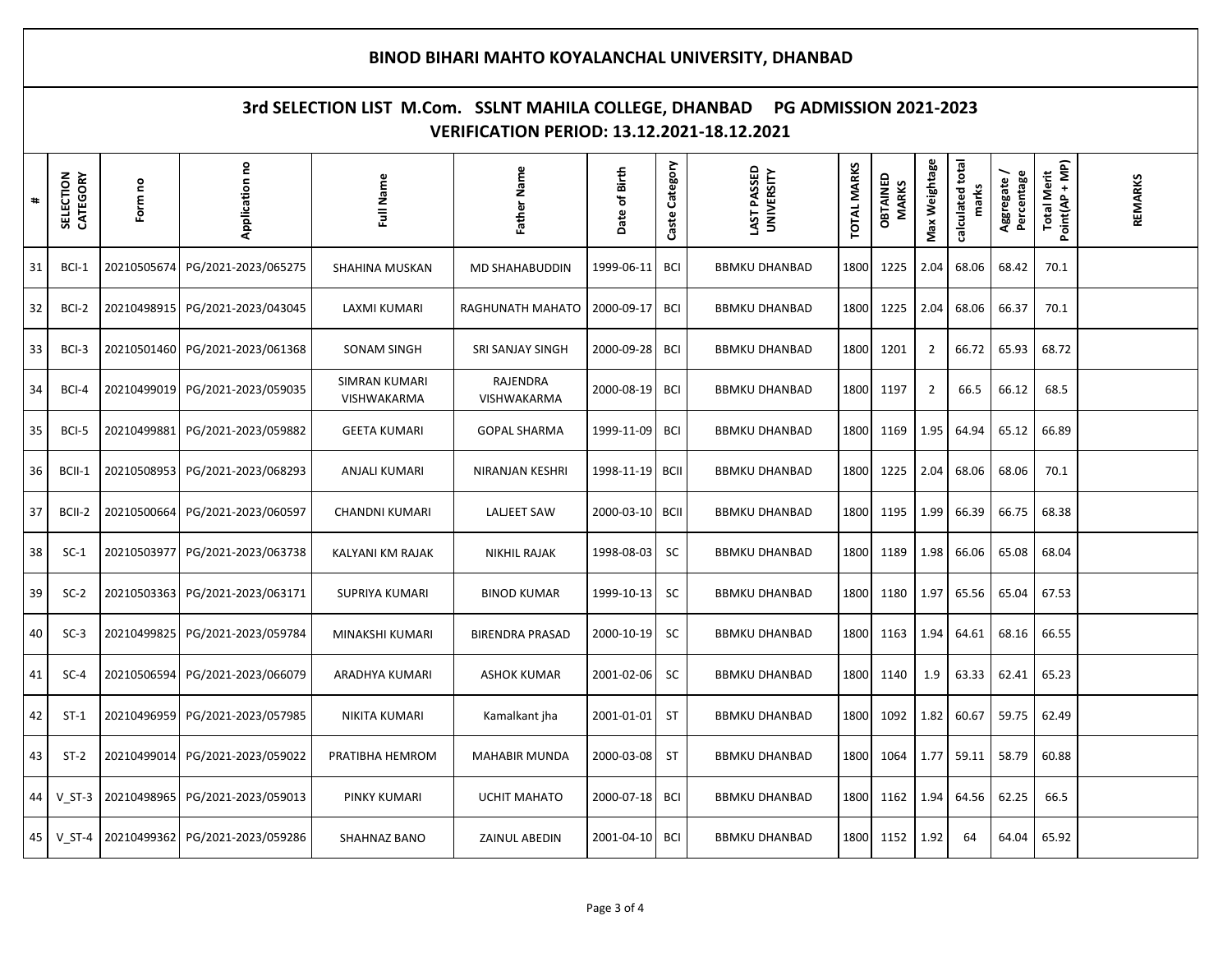## **BINOD BIHARI MAHTO KOYALANCHAL UNIVERSITY, DHANBAD 3rd SELECTION LIST M.Com. SSLNT MAHILA COLLEGE, DHANBAD PG ADMISSION 2021-2023 VERIFICATION PERIOD: 13.12.2021-18.12.2021 calculated total**  Total Merit<br>Point(AP + MP) Caste Category Max Weightage **Max Weightage** calculated total **Application no Caste Category UNIVERSITY TOTAL MARKS Point(AP + MP) LAST PASSED TOTAL MARKS CATEGORY Father Name Date of Birth Aggregate / Total Merit SELECTION OBTAINED**  Aggregate/ **Percentage Full Name** OBTAINED **REMARKS MARKS Form no marks #**31 | BCl-1 |20210505674| PG/2021-2023/065275 | SHAHINA MUSKAN | MD SHAHABUDDIN |1999-06-11| BCI | BBMKU DHANBAD |1800| 1225 |2.04 |68.06 |68.42 | 70.1 32 BCI-2 20210498915 PG/2021-2023/043045 LAXMI KUMARI RAGHUNATH MAHATO 2000-09-17 BCI BBMKU DHANBAD 1800 1225 2.04 68.06 66.37 70.1 33 | BCI-3 |20210501460| PG/2021-2023/061368 | SONAM SINGH | SRI SANJAY SINGH |2000-09-28 | BCI | BBMKU DHANBAD |1800 | 1201 | 2 | 66.72 | 65.93 | 68.72 34 BCI-4 20210499019 PG/2021-2023/059035 SIMRAN KUMARI RAJENDRA 2000-08-19 BCI BBMKU DHANBAD 1800 1197 2 66.5 66.12 68.5 VISHWAKARMA VISHWAKARMA 35 BCI-5 20210499881 PG/2021-2023/059882 GEETA KUMARI GOPAL SHARMA 1999-11-09 BCI BBMKU DHANBAD 1800 1169 1.95 64.94 65.12 66.89 36 | BCII-1 |20210508953| PG/2021-2023/068293 | ANJALI KUMARI | NIRANJAN KESHRI |1998-11-19 | BCII | BBMKU DHANBAD |1800 |1225 |2.04 |68.06 |68.06 | 670.1 37 | BCII-2 |20210500664| PG/2021-2023/060597 | CHANDNI KUMARI | LALJEET SAW |2000-03-10| BCII | BBMKU DHANBAD |1800| 1195 |1.99 | 66.39 | 66.75 | 68.38 38 | SC-1 |20210503977| PG/2021-2023/063738 | KALYANI KM RAJAK | NIKHIL RAJAK | 1998-08-03 | SC | BBMKU DHANBAD |1800 |1189 |1.98 |66.06 |65.08 |68.04 39 | SC-2 |20210503363|PG/2021-2023/063171 | SUPRIYA KUMARI | BINOD KUMAR |1999-10-13|SC | BBMKU DHANBAD |1800|1180 |1.97 |65.56 |65.04 |67.53 40 SC-3 20210499825 PG/2021-2023/059784 MINAKSHI KUMARI BIRENDRA PRASAD 2000-10-19 SC BBMKU DHANBAD 1800 1163 1.94 64.61 68.16 66.55 41 SC-4 20210506594 PG/2021-2023/066079 ARADHYA KUMARI ASHOK KUMAR 2001-02-06 SC BBMKU DHANBAD 1800 1140 1.9 63.33 62.41 65.23 42 ST-1 20210496959 PG/2021-2023/057985 NIKITA KUMARI Kamalkant jha 2001-01-01 ST BBMKU DHANBAD 1800 1092 1.82 60.67 59.75 62.49 43 ST-2 20210499014 PG/2021-2023/059022 PRATIBHA HEMROM MAHABIR MUNDA 2000-03-08 ST BBMKU DHANBAD 1800 1064 1.77 59.11 58.79 60.88 44 V\_ST-3 20210498965 PG/2021-2023/059013 PINKY KUMARI UCHIT MAHATO 2000-07-18 BCI BBMKU DHANBAD 1800 1162 1.94 64.56 62.25 66.5 45 | V\_ST-4 |20210499362| PG/2021-2023/059286 | SHAHNAZ BANO | ZAINUL ABEDIN |2001-04-10 | BCI | BBMKU DHANBAD |1800 | 1152 | 1.92 | 64 | 64.04 | 65.92